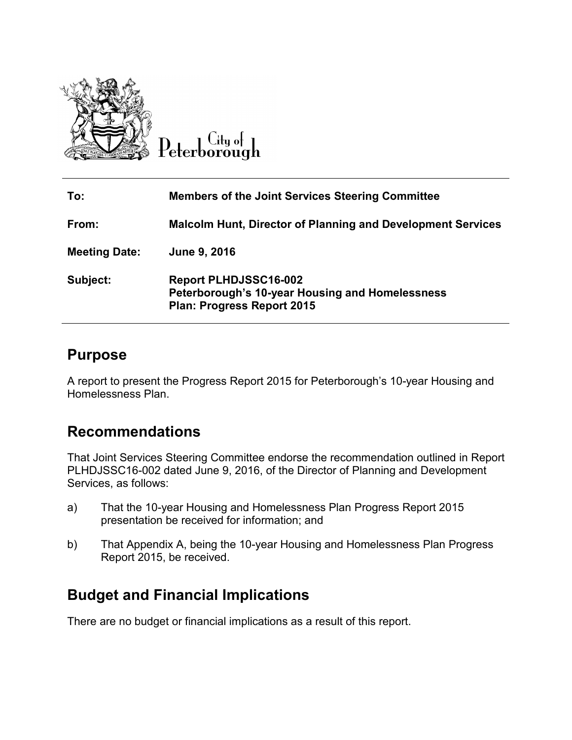

Citu ol Peterborough

| To:                  | <b>Members of the Joint Services Steering Committee</b>                                                              |
|----------------------|----------------------------------------------------------------------------------------------------------------------|
| From:                | <b>Malcolm Hunt, Director of Planning and Development Services</b>                                                   |
| <b>Meeting Date:</b> | June 9, 2016                                                                                                         |
| Subject:             | <b>Report PLHDJSSC16-002</b><br>Peterborough's 10-year Housing and Homelessness<br><b>Plan: Progress Report 2015</b> |

## **Purpose**

A report to present the Progress Report 2015 for Peterborough's 10-year Housing and Homelessness Plan.

## **Recommendations**

That Joint Services Steering Committee endorse the recommendation outlined in Report PLHDJSSC16-002 dated June 9, 2016, of the Director of Planning and Development Services, as follows:

- a) That the 10-year Housing and Homelessness Plan Progress Report 2015 presentation be received for information; and
- b) That Appendix A, being the 10-year Housing and Homelessness Plan Progress Report 2015, be received.

# **Budget and Financial Implications**

There are no budget or financial implications as a result of this report.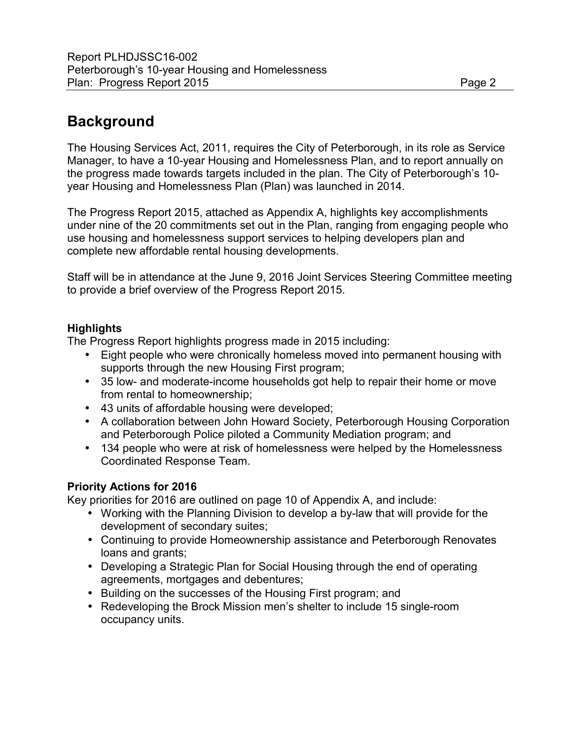## **Background**

The Housing Services Act, 2011, requires the City of Peterborough, in its role as Service Manager, to have a 10-year Housing and Homelessness Plan, and to report annually on the progress made towards targets included in the plan. The City of Peterborough's 10 year Housing and Homelessness Plan (Plan) was launched in 2014.

The Progress Report 2015, attached as Appendix A, highlights key accomplishments under nine of the 20 commitments set out in the Plan, ranging from engaging people who use housing and homelessness support services to helping developers plan and complete new affordable rental housing developments.

Staff will be in attendance at the June 9, 2016 Joint Services Steering Committee meeting to provide a brief overview of the Progress Report 2015.

## **Highlights**

The Progress Report highlights progress made in 2015 including:

- Eight people who were chronically homeless moved into permanent housing with supports through the new Housing First program;
- 35 low- and moderate-income households got help to repair their home or move from rental to homeownership;
- 43 units of affordable housing were developed;
- A collaboration between John Howard Society, Peterborough Housing Corporation and Peterborough Police piloted a Community Mediation program; and
- 134 people who were at risk of homelessness were helped by the Homelessness Coordinated Response Team.

## **Priority Actions for 2016**

Key priorities for 2016 are outlined on page 10 of Appendix A, and include:

- Working with the Planning Division to develop a by-law that will provide for the development of secondary suites;
- Continuing to provide Homeownership assistance and Peterborough Renovates loans and grants;
- Developing a Strategic Plan for Social Housing through the end of operating agreements, mortgages and debentures;
- Building on the successes of the Housing First program; and
- Redeveloping the Brock Mission men's shelter to include 15 single-room occupancy units.